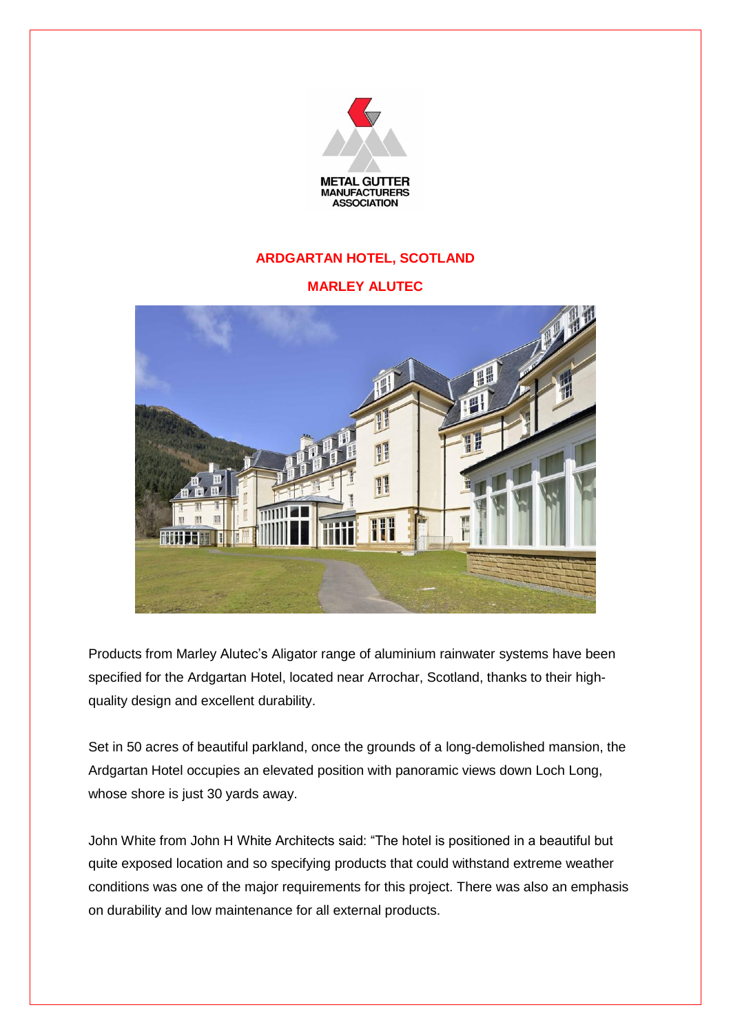

## **ARDGARTAN HOTEL, SCOTLAND**

## **MARLEY ALUTEC**



Products from Marley Alutec's Aligator range of aluminium rainwater systems have been specified for the Ardgartan Hotel, located near Arrochar, Scotland, thanks to their highquality design and excellent durability.

Set in 50 acres of beautiful parkland, once the grounds of a long-demolished mansion, the Ardgartan Hotel occupies an elevated position with panoramic views down Loch Long, whose shore is just 30 yards away.

John White from John H White Architects said: "The hotel is positioned in a beautiful but quite exposed location and so specifying products that could withstand extreme weather conditions was one of the major requirements for this project. There was also an emphasis on durability and low maintenance for all external products.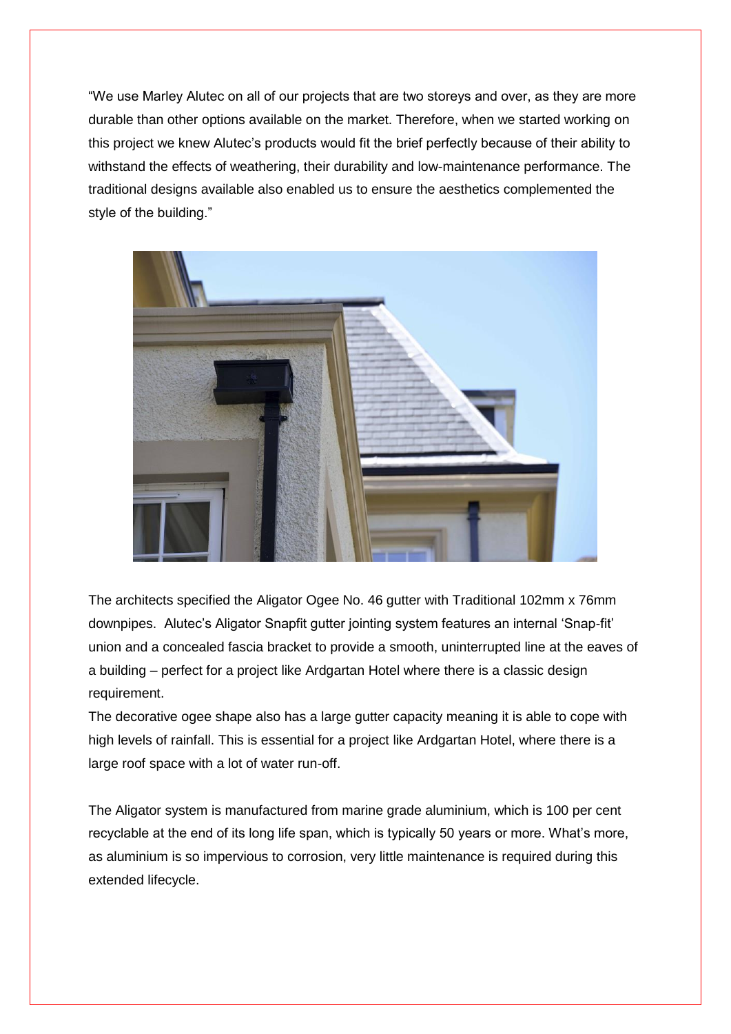"We use Marley Alutec on all of our projects that are two storeys and over, as they are more durable than other options available on the market. Therefore, when we started working on this project we knew Alutec's products would fit the brief perfectly because of their ability to withstand the effects of weathering, their durability and low-maintenance performance. The traditional designs available also enabled us to ensure the aesthetics complemented the style of the building."



The architects specified the Aligator Ogee No. 46 gutter with Traditional 102mm x 76mm downpipes. Alutec's Aligator Snapfit gutter jointing system features an internal 'Snap-fit' union and a concealed fascia bracket to provide a smooth, uninterrupted line at the eaves of a building – perfect for a project like Ardgartan Hotel where there is a classic design requirement.

The decorative ogee shape also has a large gutter capacity meaning it is able to cope with high levels of rainfall. This is essential for a project like Ardgartan Hotel, where there is a large roof space with a lot of water run-off.

The Aligator system is manufactured from marine grade aluminium, which is 100 per cent recyclable at the end of its long life span, which is typically 50 years or more. What's more, as aluminium is so impervious to corrosion, very little maintenance is required during this extended lifecycle.